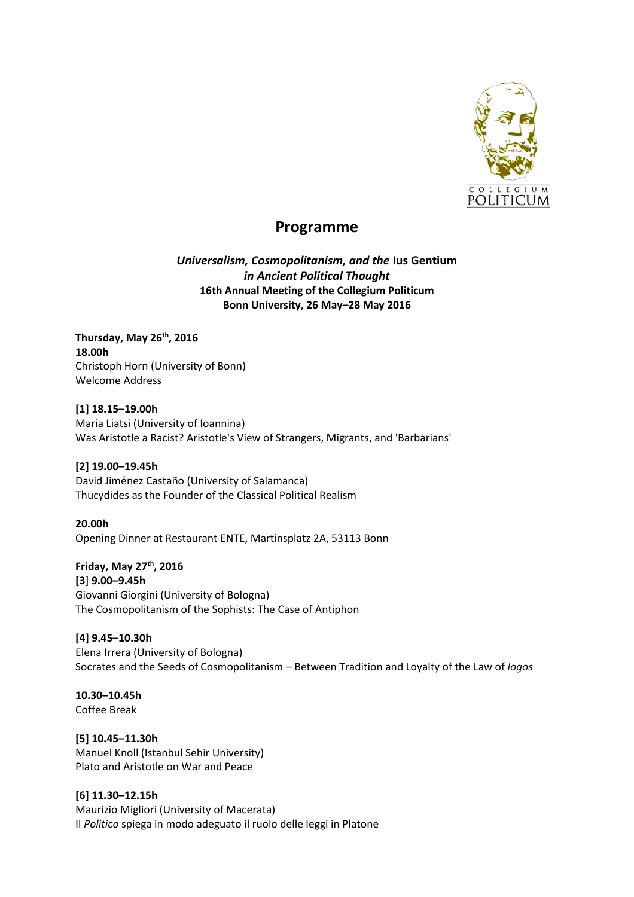

# **Programme**

*Universalism, Cosmopolitanism, and the* **Ius Gentium** *in Ancient Political Thought* **16th Annual Meeting of the Collegium Politicum Bonn University, 26 May–28 May 2016**

**Thursday, May 26th, 2016 18.00h** Christoph Horn (University of Bonn) Welcome Address

**[1] 18.15–19.00h** Maria Liatsi (University of Ioannina) Was Aristotle a Racist? Aristotle's View of Strangers, Migrants, and 'Barbarians'

**[2] 19.00–19.45h** David Jiménez Castaño (University of Salamanca) Thucydides as the Founder of the Classical Political Realism

**20.00h** Opening Dinner at Restaurant ENTE, Martinsplatz 2A, 53113 Bonn

**Friday, May 27th, 2016 [3**] **9.00–9.45h** Giovanni Giorgini (University of Bologna) The Cosmopolitanism of the Sophists: The Case of Antiphon

**[4] 9.45–10.30h** Elena Irrera (University of Bologna) Socrates and the Seeds of Cosmopolitanism – Between Tradition and Loyalty of the Law of *logos*

**10.30–10.45h** Coffee Break

**[5] 10.45–11.30h** Manuel Knoll (Istanbul Sehir University) Plato and Aristotle on War and Peace

**[6] 11.30–12.15h** Maurizio Migliori (University of Macerata) Il *Politico* spiega in modo adeguato il ruolo delle leggi in Platone